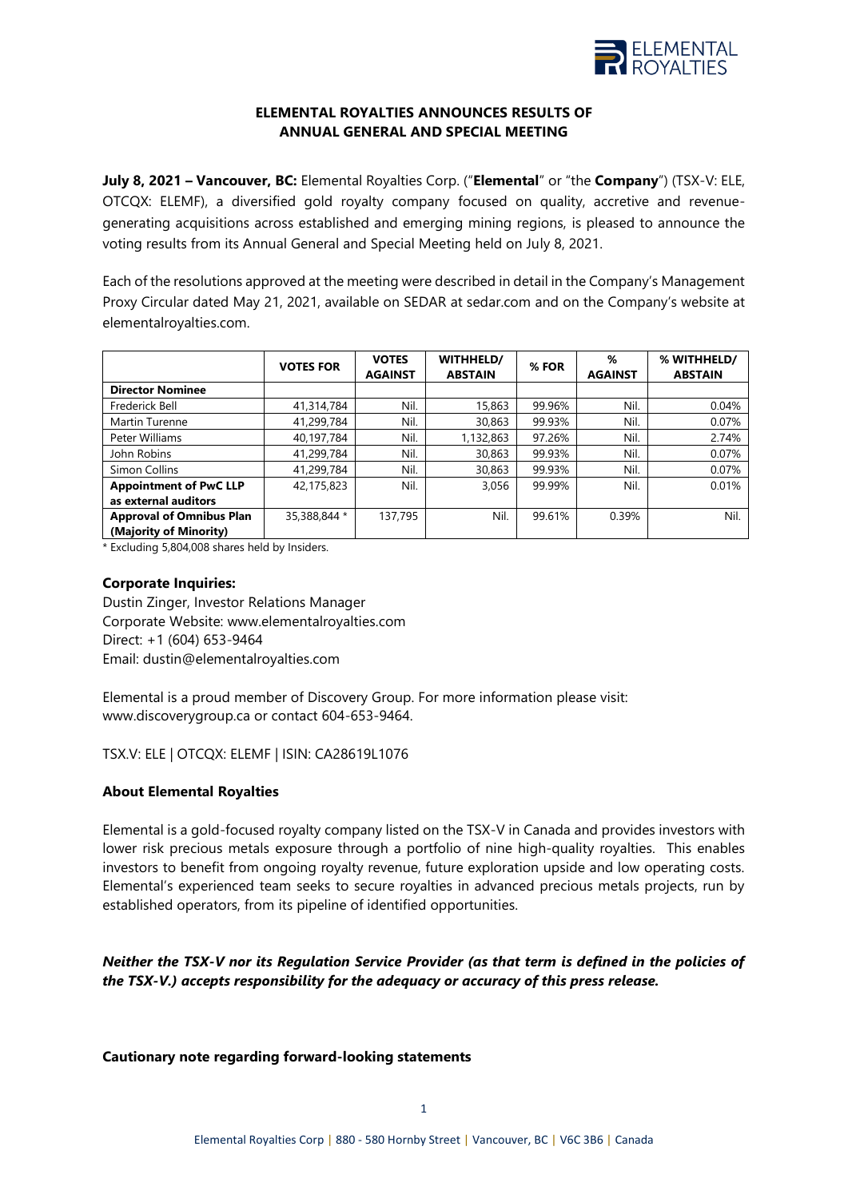

## **ELEMENTAL ROYALTIES ANNOUNCES RESULTS OF ANNUAL GENERAL AND SPECIAL MEETING**

**July 8, 2021 – Vancouver, BC:** Elemental Royalties Corp. ("**Elemental**" or "the **Company**") (TSX-V: ELE, OTCQX: ELEMF), a diversified gold royalty company focused on quality, accretive and revenuegenerating acquisitions across established and emerging mining regions, is pleased to announce the voting results from its Annual General and Special Meeting held on July 8, 2021.

Each of the resolutions approved at the meeting were described in detail in the Company's Management Proxy Circular dated May 21, 2021, available on SEDAR at sedar.com and on the Company's website at elementalroyalties.com.

|                                 | <b>VOTES FOR</b> | <b>VOTES</b><br><b>AGAINST</b> | WITHHELD/<br><b>ABSTAIN</b> | % FOR  | %<br><b>AGAINST</b> | % WITHHELD/<br><b>ABSTAIN</b> |
|---------------------------------|------------------|--------------------------------|-----------------------------|--------|---------------------|-------------------------------|
| <b>Director Nominee</b>         |                  |                                |                             |        |                     |                               |
| Frederick Bell                  | 41,314,784       | Nil.                           | 15,863                      | 99.96% | Nil.                | 0.04%                         |
| Martin Turenne                  | 41,299,784       | Nil.                           | 30,863                      | 99.93% | Nil.                | 0.07%                         |
| Peter Williams                  | 40,197,784       | Nil.                           | 1,132,863                   | 97.26% | Nil.                | 2.74%                         |
| John Robins                     | 41,299,784       | Nil.                           | 30,863                      | 99.93% | Nil.                | 0.07%                         |
| Simon Collins                   | 41,299,784       | Nil.                           | 30,863                      | 99.93% | Nil.                | 0.07%                         |
| <b>Appointment of PwC LLP</b>   | 42,175,823       | Nil.                           | 3,056                       | 99.99% | Nil.                | 0.01%                         |
| as external auditors            |                  |                                |                             |        |                     |                               |
| <b>Approval of Omnibus Plan</b> | 35,388,844 *     | 137,795                        | Nil.                        | 99.61% | 0.39%               | Nil.                          |
| (Majority of Minority)          |                  |                                |                             |        |                     |                               |

\* Excluding 5,804,008 shares held by Insiders.

## **Corporate Inquiries:**

Dustin Zinger, Investor Relations Manager Corporate Website: [www.elementalroyalties.com](http://www.elementalroyalties.com/) Direct: +1 (604) 653-9464 Email: [dustin@elementalroyalties.com](mailto:dustin@elementalroyalties.com)

Elemental is a proud member of Discovery Group. For more information please visit: [www.discoverygroup.ca](http://www.discoverygroup.ca/) or contact 604-653-9464.

TSX.V: ELE | OTCQX: ELEMF | ISIN: CA28619L1076

## **About Elemental Royalties**

Elemental is a gold-focused royalty company listed on the TSX-V in Canada and provides investors with lower risk precious metals exposure through a portfolio of nine high-quality royalties. This enables investors to benefit from ongoing royalty revenue, future exploration upside and low operating costs. Elemental's experienced team seeks to secure royalties in advanced precious metals projects, run by established operators, from its pipeline of identified opportunities.

*Neither the TSX-V nor its Regulation Service Provider (as that term is defined in the policies of the TSX-V.) accepts responsibility for the adequacy or accuracy of this press release.*

**Cautionary note regarding forward-looking statements**